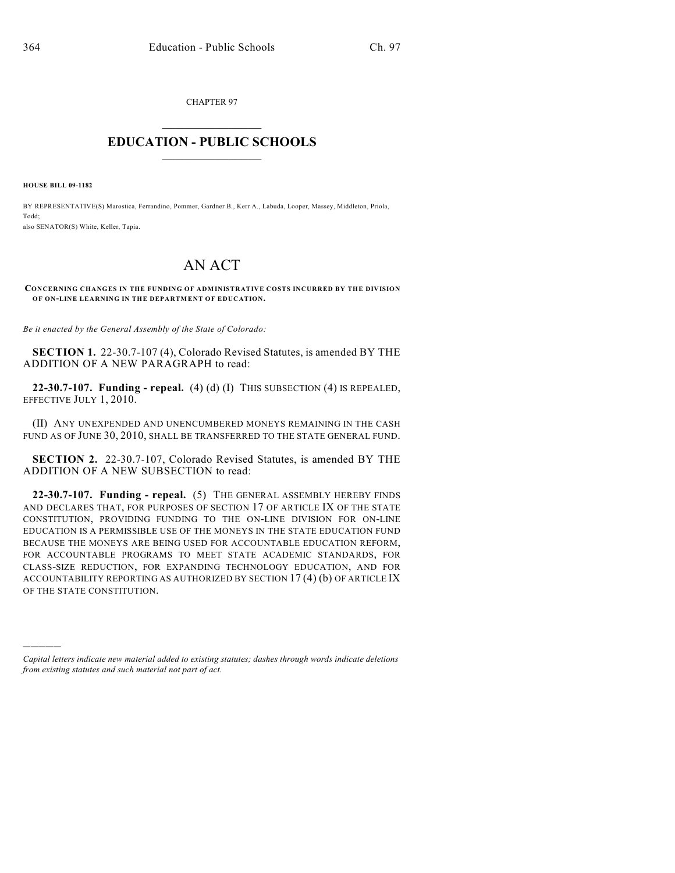CHAPTER 97  $\overline{\phantom{a}}$  . The set of the set of the set of the set of the set of the set of the set of the set of the set of the set of the set of the set of the set of the set of the set of the set of the set of the set of the set o

## **EDUCATION - PUBLIC SCHOOLS**  $\_$   $\_$   $\_$   $\_$   $\_$   $\_$   $\_$   $\_$   $\_$

**HOUSE BILL 09-1182**

)))))

BY REPRESENTATIVE(S) Marostica, Ferrandino, Pommer, Gardner B., Kerr A., Labuda, Looper, Massey, Middleton, Priola, Todd; also SENATOR(S) White, Keller, Tapia.

## AN ACT

**CONCERNING CHANGES IN THE FUNDING OF ADMINISTRATIVE COSTS INCURRED BY THE DIVISION OF ON-LINE LEARNING IN THE DEPARTMENT OF EDUCATION.**

*Be it enacted by the General Assembly of the State of Colorado:*

**SECTION 1.** 22-30.7-107 (4), Colorado Revised Statutes, is amended BY THE ADDITION OF A NEW PARAGRAPH to read:

**22-30.7-107. Funding - repeal.** (4) (d) (I) THIS SUBSECTION (4) IS REPEALED, EFFECTIVE JULY 1, 2010.

(II) ANY UNEXPENDED AND UNENCUMBERED MONEYS REMAINING IN THE CASH FUND AS OF JUNE 30, 2010, SHALL BE TRANSFERRED TO THE STATE GENERAL FUND.

**SECTION 2.** 22-30.7-107, Colorado Revised Statutes, is amended BY THE ADDITION OF A NEW SUBSECTION to read:

**22-30.7-107. Funding - repeal.** (5) THE GENERAL ASSEMBLY HEREBY FINDS AND DECLARES THAT, FOR PURPOSES OF SECTION 17 OF ARTICLE IX OF THE STATE CONSTITUTION, PROVIDING FUNDING TO THE ON-LINE DIVISION FOR ON-LINE EDUCATION IS A PERMISSIBLE USE OF THE MONEYS IN THE STATE EDUCATION FUND BECAUSE THE MONEYS ARE BEING USED FOR ACCOUNTABLE EDUCATION REFORM, FOR ACCOUNTABLE PROGRAMS TO MEET STATE ACADEMIC STANDARDS, FOR CLASS-SIZE REDUCTION, FOR EXPANDING TECHNOLOGY EDUCATION, AND FOR ACCOUNTABILITY REPORTING AS AUTHORIZED BY SECTION 17 (4) (b) OF ARTICLE IX OF THE STATE CONSTITUTION.

*Capital letters indicate new material added to existing statutes; dashes through words indicate deletions from existing statutes and such material not part of act.*